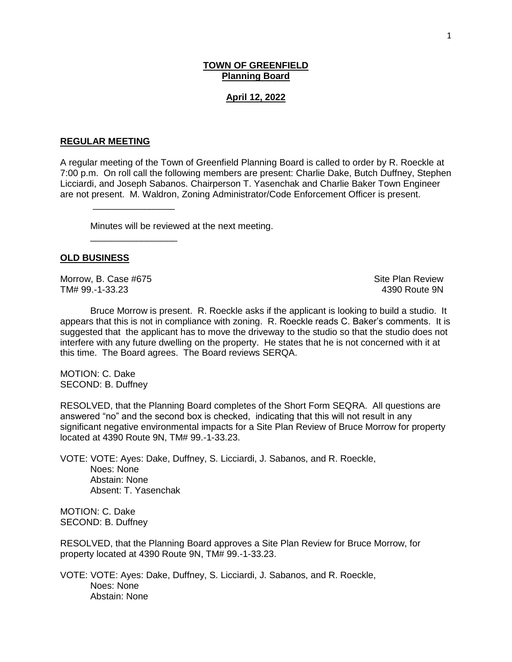## **TOWN OF GREENFIELD Planning Board**

#### **April 12, 2022**

#### **REGULAR MEETING**

\_\_\_\_\_\_\_\_\_\_\_\_\_\_\_\_

\_\_\_\_\_\_\_\_\_\_\_\_\_\_\_\_\_

A regular meeting of the Town of Greenfield Planning Board is called to order by R. Roeckle at 7:00 p.m. On roll call the following members are present: Charlie Dake, Butch Duffney, Stephen Licciardi, and Joseph Sabanos. Chairperson T. Yasenchak and Charlie Baker Town Engineer are not present. M. Waldron, Zoning Administrator/Code Enforcement Officer is present.

Minutes will be reviewed at the next meeting.

### **OLD BUSINESS**

Morrow, B. Case #675 Site Plan Review TM# 99.-1-33.23 4390 Route 9N

Bruce Morrow is present. R. Roeckle asks if the applicant is looking to build a studio. It appears that this is not in compliance with zoning. R. Roeckle reads C. Baker's comments. It is suggested that the applicant has to move the driveway to the studio so that the studio does not interfere with any future dwelling on the property. He states that he is not concerned with it at this time. The Board agrees. The Board reviews SERQA.

MOTION: C. Dake SECOND: B. Duffney

RESOLVED, that the Planning Board completes of the Short Form SEQRA. All questions are answered "no" and the second box is checked, indicating that this will not result in any significant negative environmental impacts for a Site Plan Review of Bruce Morrow for property located at 4390 Route 9N, TM# 99.-1-33.23.

VOTE: VOTE: Ayes: Dake, Duffney, S. Licciardi, J. Sabanos, and R. Roeckle, Noes: None Abstain: None Absent: T. Yasenchak

MOTION: C. Dake SECOND: B. Duffney

RESOLVED, that the Planning Board approves a Site Plan Review for Bruce Morrow, for property located at 4390 Route 9N, TM# 99.-1-33.23.

VOTE: VOTE: Ayes: Dake, Duffney, S. Licciardi, J. Sabanos, and R. Roeckle, Noes: None Abstain: None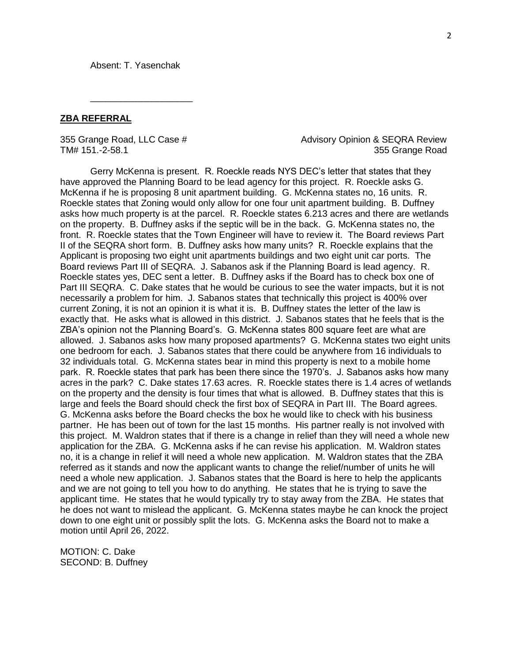Absent: T. Yasenchak

\_\_\_\_\_\_\_\_\_\_\_\_\_\_\_\_\_\_\_\_

### **ZBA REFERRAL**

355 Grange Road, LLC Case # Advisory Opinion & SEQRA Review TM# 151.-2-58.1 355 Grange Road

Gerry McKenna is present. R. Roeckle reads NYS DEC's letter that states that they have approved the Planning Board to be lead agency for this project. R. Roeckle asks G. McKenna if he is proposing 8 unit apartment building. G. McKenna states no, 16 units. R. Roeckle states that Zoning would only allow for one four unit apartment building. B. Duffney asks how much property is at the parcel. R. Roeckle states 6.213 acres and there are wetlands on the property. B. Duffney asks if the septic will be in the back. G. McKenna states no, the front. R. Roeckle states that the Town Engineer will have to review it. The Board reviews Part II of the SEQRA short form. B. Duffney asks how many units? R. Roeckle explains that the Applicant is proposing two eight unit apartments buildings and two eight unit car ports. The Board reviews Part III of SEQRA. J. Sabanos ask if the Planning Board is lead agency. R. Roeckle states yes, DEC sent a letter. B. Duffney asks if the Board has to check box one of Part III SEQRA. C. Dake states that he would be curious to see the water impacts, but it is not necessarily a problem for him. J. Sabanos states that technically this project is 400% over current Zoning, it is not an opinion it is what it is. B. Duffney states the letter of the law is exactly that. He asks what is allowed in this district. J. Sabanos states that he feels that is the ZBA's opinion not the Planning Board's. G. McKenna states 800 square feet are what are allowed. J. Sabanos asks how many proposed apartments? G. McKenna states two eight units one bedroom for each. J. Sabanos states that there could be anywhere from 16 individuals to 32 individuals total. G. McKenna states bear in mind this property is next to a mobile home park. R. Roeckle states that park has been there since the 1970's. J. Sabanos asks how many acres in the park? C. Dake states 17.63 acres. R. Roeckle states there is 1.4 acres of wetlands on the property and the density is four times that what is allowed. B. Duffney states that this is large and feels the Board should check the first box of SEQRA in Part III. The Board agrees. G. McKenna asks before the Board checks the box he would like to check with his business partner. He has been out of town for the last 15 months. His partner really is not involved with this project. M. Waldron states that if there is a change in relief than they will need a whole new application for the ZBA. G. McKenna asks if he can revise his application. M. Waldron states no, it is a change in relief it will need a whole new application. M. Waldron states that the ZBA referred as it stands and now the applicant wants to change the relief/number of units he will need a whole new application. J. Sabanos states that the Board is here to help the applicants and we are not going to tell you how to do anything. He states that he is trying to save the applicant time. He states that he would typically try to stay away from the ZBA. He states that he does not want to mislead the applicant. G. McKenna states maybe he can knock the project down to one eight unit or possibly split the lots. G. McKenna asks the Board not to make a motion until April 26, 2022.

MOTION: C. Dake SECOND: B. Duffney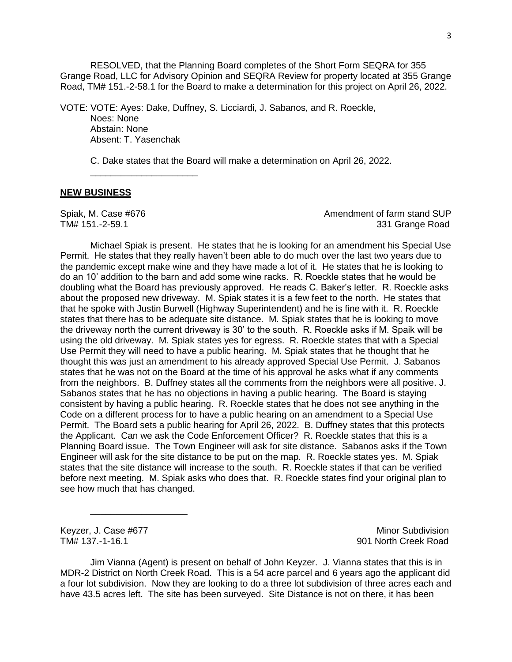RESOLVED, that the Planning Board completes of the Short Form SEQRA for 355 Grange Road, LLC for Advisory Opinion and SEQRA Review for property located at 355 Grange Road, TM# 151.-2-58.1 for the Board to make a determination for this project on April 26, 2022.

VOTE: VOTE: Ayes: Dake, Duffney, S. Licciardi, J. Sabanos, and R. Roeckle, Noes: None Abstain: None Absent: T. Yasenchak

C. Dake states that the Board will make a determination on April 26, 2022.

# **NEW BUSINESS**

\_\_\_\_\_\_\_\_\_\_\_\_\_\_\_\_\_\_\_\_\_

Spiak, M. Case #676 Amendment of farm stand SUP TM# 151.-2-59.1 331 Grange Road

Michael Spiak is present. He states that he is looking for an amendment his Special Use Permit. He states that they really haven't been able to do much over the last two years due to the pandemic except make wine and they have made a lot of it. He states that he is looking to do an 10' addition to the barn and add some wine racks. R. Roeckle states that he would be doubling what the Board has previously approved. He reads C. Baker's letter. R. Roeckle asks about the proposed new driveway. M. Spiak states it is a few feet to the north. He states that that he spoke with Justin Burwell (Highway Superintendent) and he is fine with it. R. Roeckle states that there has to be adequate site distance. M. Spiak states that he is looking to move the driveway north the current driveway is 30' to the south. R. Roeckle asks if M. Spaik will be using the old driveway. M. Spiak states yes for egress. R. Roeckle states that with a Special Use Permit they will need to have a public hearing. M. Spiak states that he thought that he thought this was just an amendment to his already approved Special Use Permit. J. Sabanos states that he was not on the Board at the time of his approval he asks what if any comments from the neighbors. B. Duffney states all the comments from the neighbors were all positive. J. Sabanos states that he has no objections in having a public hearing. The Board is staying consistent by having a public hearing. R. Roeckle states that he does not see anything in the Code on a different process for to have a public hearing on an amendment to a Special Use Permit. The Board sets a public hearing for April 26, 2022. B. Duffney states that this protects the Applicant. Can we ask the Code Enforcement Officer? R. Roeckle states that this is a Planning Board issue. The Town Engineer will ask for site distance. Sabanos asks if the Town Engineer will ask for the site distance to be put on the map. R. Roeckle states yes. M. Spiak states that the site distance will increase to the south. R. Roeckle states if that can be verified before next meeting. M. Spiak asks who does that. R. Roeckle states find your original plan to see how much that has changed.

\_\_\_\_\_\_\_\_\_\_\_\_\_\_\_\_\_\_\_

Keyzer, J. Case #677 Minor Subdivision TM# 137.-1-16.1 901 North Creek Road

Jim Vianna (Agent) is present on behalf of John Keyzer. J. Vianna states that this is in MDR-2 District on North Creek Road. This is a 54 acre parcel and 6 years ago the applicant did a four lot subdivision. Now they are looking to do a three lot subdivision of three acres each and have 43.5 acres left. The site has been surveyed. Site Distance is not on there, it has been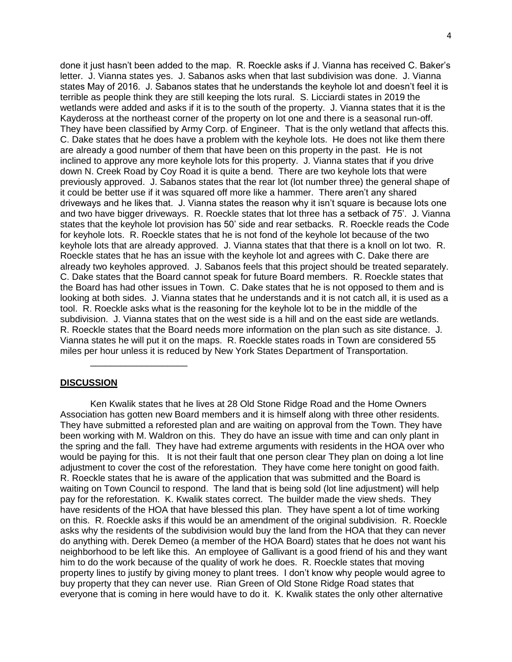done it just hasn't been added to the map. R. Roeckle asks if J. Vianna has received C. Baker's letter. J. Vianna states yes. J. Sabanos asks when that last subdivision was done. J. Vianna states May of 2016. J. Sabanos states that he understands the keyhole lot and doesn't feel it is terrible as people think they are still keeping the lots rural. S. Licciardi states in 2019 the wetlands were added and asks if it is to the south of the property. J. Vianna states that it is the Kaydeross at the northeast corner of the property on lot one and there is a seasonal run-off. They have been classified by Army Corp. of Engineer. That is the only wetland that affects this. C. Dake states that he does have a problem with the keyhole lots. He does not like them there are already a good number of them that have been on this property in the past. He is not inclined to approve any more keyhole lots for this property. J. Vianna states that if you drive down N. Creek Road by Coy Road it is quite a bend. There are two keyhole lots that were previously approved. J. Sabanos states that the rear lot (lot number three) the general shape of it could be better use if it was squared off more like a hammer. There aren't any shared driveways and he likes that. J. Vianna states the reason why it isn't square is because lots one and two have bigger driveways. R. Roeckle states that lot three has a setback of 75'. J. Vianna states that the keyhole lot provision has 50' side and rear setbacks. R. Roeckle reads the Code for keyhole lots. R. Roeckle states that he is not fond of the keyhole lot because of the two keyhole lots that are already approved. J. Vianna states that that there is a knoll on lot two. R. Roeckle states that he has an issue with the keyhole lot and agrees with C. Dake there are already two keyholes approved. J. Sabanos feels that this project should be treated separately. C. Dake states that the Board cannot speak for future Board members. R. Roeckle states that the Board has had other issues in Town. C. Dake states that he is not opposed to them and is looking at both sides. J. Vianna states that he understands and it is not catch all, it is used as a tool. R. Roeckle asks what is the reasoning for the keyhole lot to be in the middle of the subdivision. J. Vianna states that on the west side is a hill and on the east side are wetlands. R. Roeckle states that the Board needs more information on the plan such as site distance. J. Vianna states he will put it on the maps. R. Roeckle states roads in Town are considered 55 miles per hour unless it is reduced by New York States Department of Transportation.

### **DISCUSSION**

\_\_\_\_\_\_\_\_\_\_\_\_\_\_\_\_\_\_\_

Ken Kwalik states that he lives at 28 Old Stone Ridge Road and the Home Owners Association has gotten new Board members and it is himself along with three other residents. They have submitted a reforested plan and are waiting on approval from the Town. They have been working with M. Waldron on this. They do have an issue with time and can only plant in the spring and the fall. They have had extreme arguments with residents in the HOA over who would be paying for this. It is not their fault that one person clear They plan on doing a lot line adjustment to cover the cost of the reforestation. They have come here tonight on good faith. R. Roeckle states that he is aware of the application that was submitted and the Board is waiting on Town Council to respond. The land that is being sold (lot line adjustment) will help pay for the reforestation. K. Kwalik states correct. The builder made the view sheds. They have residents of the HOA that have blessed this plan. They have spent a lot of time working on this. R. Roeckle asks if this would be an amendment of the original subdivision. R. Roeckle asks why the residents of the subdivision would buy the land from the HOA that they can never do anything with. Derek Demeo (a member of the HOA Board) states that he does not want his neighborhood to be left like this. An employee of Gallivant is a good friend of his and they want him to do the work because of the quality of work he does. R. Roeckle states that moving property lines to justify by giving money to plant trees. I don't know why people would agree to buy property that they can never use. Rian Green of Old Stone Ridge Road states that everyone that is coming in here would have to do it. K. Kwalik states the only other alternative